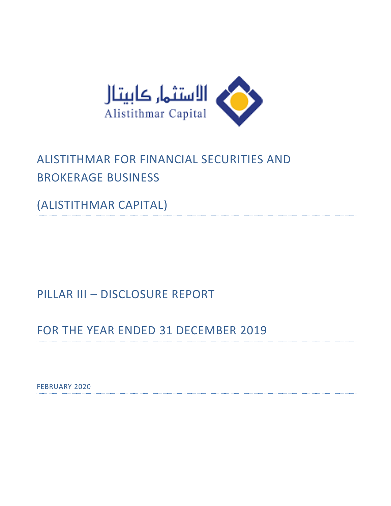

# ALISTITHMAR FOR FINANCIAL SECURITIES AND BROKERAGE BUSINESS

(ALISTITHMAR CAPITAL)

PILLAR III – DISCLOSURE REPORT

FOR THE YEAR ENDED 31 DECEMBER 2019

FEBRUARY 2020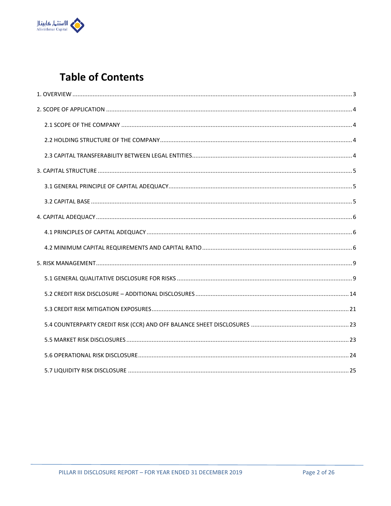

## **Table of Contents**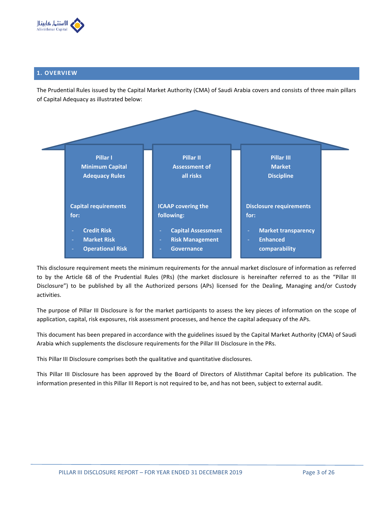

## **1. OVERVIEW**

The Prudential Rules issued by the Capital Market Authority (CMA) of Saudi Arabia covers and consists of three main pillars of Capital Adequacy as illustrated below:



This disclosure requirement meets the minimum requirements for the annual market disclosure of information as referred to by the Article 68 of the Prudential Rules (PRs) (the market disclosure is hereinafter referred to as the "Pillar III Disclosure") to be published by all the Authorized persons (APs) licensed for the Dealing, Managing and/or Custody activities.

The purpose of Pillar III Disclosure is for the market participants to assess the key pieces of information on the scope of application, capital, risk exposures, risk assessment processes, and hence the capital adequacy of the APs.

This document has been prepared in accordance with the guidelines issued by the Capital Market Authority (CMA) of Saudi Arabia which supplements the disclosure requirements for the Pillar III Disclosure in the PRs.

This Pillar III Disclosure comprises both the qualitative and quantitative disclosures.

This Pillar III Disclosure has been approved by the Board of Directors of Alistithmar Capital before its publication. The information presented in this Pillar III Report is not required to be, and has not been, subject to external audit.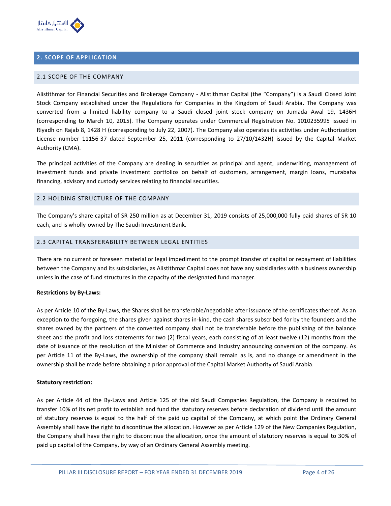

## **2. SCOPE OF APPLICATION**

#### 2.1 SCOPE OF THE COMPANY

Alistithmar for Financial Securities and Brokerage Company - Alistithmar Capital (the "Company") is a Saudi Closed Joint Stock Company established under the Regulations for Companies in the Kingdom of Saudi Arabia. The Company was converted from a limited liability company to a Saudi closed joint stock company on Jumada Awal 19, 1436H (corresponding to March 10, 2015). The Company operates under Commercial Registration No. 1010235995 issued in Riyadh on Rajab 8, 1428 H (corresponding to July 22, 2007). The Company also operates its activities under Authorization License number 11156-37 dated September 25, 2011 (corresponding to 27/10/1432H) issued by the Capital Market Authority (CMA).

The principal activities of the Company are dealing in securities as principal and agent, underwriting, management of investment funds and private investment portfolios on behalf of customers, arrangement, margin loans, murabaha financing, advisory and custody services relating to financial securities.

#### 2.2 HOLDING STRUCTURE OF THE COMPANY

The Company's share capital of SR 250 million as at December 31, 2019 consists of 25,000,000 fully paid shares of SR 10 each, and is wholly-owned by The Saudi Investment Bank.

## 2.3 CAPITAL TRANSFERABILITY BETWEEN LEGAL ENTITIES

There are no current or foreseen material or legal impediment to the prompt transfer of capital or repayment of liabilities between the Company and its subsidiaries, as Alistithmar Capital does not have any subsidiaries with a business ownership unless in the case of fund structures in the capacity of the designated fund manager.

#### **Restrictions by By-Laws:**

As per Article 10 of the By-Laws, the Shares shall be transferable/negotiable after issuance of the certificates thereof. As an exception to the foregoing, the shares given against shares in-kind, the cash shares subscribed for by the founders and the shares owned by the partners of the converted company shall not be transferable before the publishing of the balance sheet and the profit and loss statements for two (2) fiscal years, each consisting of at least twelve (12) months from the date of issuance of the resolution of the Minister of Commerce and Industry announcing conversion of the company. As per Article 11 of the By-Laws, the ownership of the company shall remain as is, and no change or amendment in the ownership shall be made before obtaining a prior approval of the Capital Market Authority of Saudi Arabia.

#### **Statutory restriction:**

As per Article 44 of the By-Laws and Article 125 of the old Saudi Companies Regulation, the Company is required to transfer 10% of its net profit to establish and fund the statutory reserves before declaration of dividend until the amount of statutory reserves is equal to the half of the paid up capital of the Company, at which point the Ordinary General Assembly shall have the right to discontinue the allocation. However as per Article 129 of the New Companies Regulation, the Company shall have the right to discontinue the allocation, once the amount of statutory reserves is equal to 30% of paid up capital of the Company, by way of an Ordinary General Assembly meeting.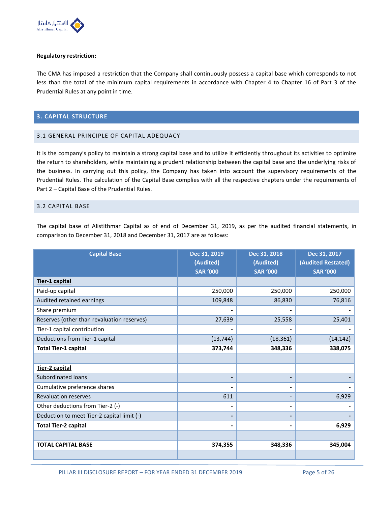

#### **Regulatory restriction:**

The CMA has imposed a restriction that the Company shall continuously possess a capital base which corresponds to not less than the total of the minimum capital requirements in accordance with Chapter 4 to Chapter 16 of Part 3 of the Prudential Rules at any point in time.

#### **3. CAPITAL STRUCTURE**

#### 3.1 GENERAL PRINCIPLE OF CAPITAL ADEQUACY

It is the company's policy to maintain a strong capital base and to utilize it efficiently throughout its activities to optimize the return to shareholders, while maintaining a prudent relationship between the capital base and the underlying risks of the business. In carrying out this policy, the Company has taken into account the supervisory requirements of the Prudential Rules. The calculation of the Capital Base complies with all the respective chapters under the requirements of Part 2 – Capital Base of the Prudential Rules.

### 3.2 CAPITAL BASE

The capital base of Alistithmar Capital as of end of December 31, 2019, as per the audited financial statements, in comparison to December 31, 2018 and December 31, 2017 are as follows:

| <b>Capital Base</b>                        | Dec 31, 2019<br>(Audited)<br><b>SAR '000</b> | Dec 31, 2018<br>(Audited)<br><b>SAR '000</b> | Dec 31, 2017<br>(Audited Restated)<br><b>SAR '000</b> |  |
|--------------------------------------------|----------------------------------------------|----------------------------------------------|-------------------------------------------------------|--|
| Tier-1 capital                             |                                              |                                              |                                                       |  |
| Paid-up capital                            | 250,000                                      | 250,000                                      | 250,000                                               |  |
| Audited retained earnings                  | 109,848                                      | 86,830                                       | 76,816                                                |  |
| Share premium                              |                                              |                                              |                                                       |  |
| Reserves (other than revaluation reserves) | 27,639                                       | 25,558                                       | 25,401                                                |  |
| Tier-1 capital contribution                |                                              |                                              |                                                       |  |
| Deductions from Tier-1 capital             | (13, 744)                                    | (18, 361)                                    | (14, 142)                                             |  |
| <b>Total Tier-1 capital</b>                | 373,744                                      | 348,336                                      | 338,075                                               |  |
|                                            |                                              |                                              |                                                       |  |
| Tier-2 capital                             |                                              |                                              |                                                       |  |
| <b>Subordinated loans</b>                  | $\overline{\phantom{0}}$                     |                                              |                                                       |  |
| Cumulative preference shares               | $\blacksquare$                               |                                              |                                                       |  |
| <b>Revaluation reserves</b>                | 611                                          |                                              | 6,929                                                 |  |
| Other deductions from Tier-2 (-)           | $\blacksquare$                               |                                              |                                                       |  |
| Deduction to meet Tier-2 capital limit (-) | $\blacksquare$                               |                                              |                                                       |  |
| <b>Total Tier-2 capital</b>                | $\blacksquare$                               |                                              | 6,929                                                 |  |
|                                            |                                              |                                              |                                                       |  |
| <b>TOTAL CAPITAL BASE</b>                  | 374,355                                      | 348,336                                      | 345,004                                               |  |
|                                            |                                              |                                              |                                                       |  |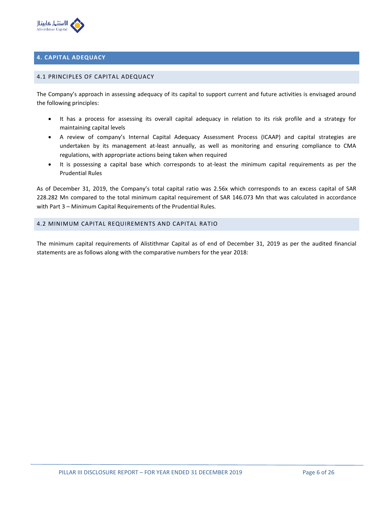

## **4. CAPITAL ADEQUACY**

#### 4.1 PRINCIPLES OF CAPITAL ADEQUACY

The Company's approach in assessing adequacy of its capital to support current and future activities is envisaged around the following principles:

- It has a process for assessing its overall capital adequacy in relation to its risk profile and a strategy for maintaining capital levels
- A review of company's Internal Capital Adequacy Assessment Process (ICAAP) and capital strategies are undertaken by its management at-least annually, as well as monitoring and ensuring compliance to CMA regulations, with appropriate actions being taken when required
- It is possessing a capital base which corresponds to at-least the minimum capital requirements as per the Prudential Rules

As of December 31, 2019, the Company's total capital ratio was 2.56x which corresponds to an excess capital of SAR 228.282 Mn compared to the total minimum capital requirement of SAR 146.073 Mn that was calculated in accordance with Part 3 – Minimum Capital Requirements of the Prudential Rules.

#### 4.2 MINIMUM CAPITAL REQUIREMENTS AND CAPITAL RATIO

The minimum capital requirements of Alistithmar Capital as of end of December 31, 2019 as per the audited financial statements are as follows along with the comparative numbers for the year 2018: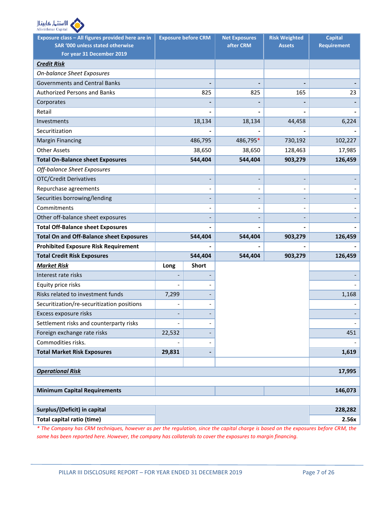

| Exposure class - All figures provided here are in |        | <b>Exposure before CRM</b>   | <b>Net Exposures</b> | <b>Risk Weighted</b> | <b>Capital</b>     |
|---------------------------------------------------|--------|------------------------------|----------------------|----------------------|--------------------|
| SAR '000 unless stated otherwise                  |        |                              | after CRM            | <b>Assets</b>        | <b>Requirement</b> |
| For year 31 December 2019                         |        |                              |                      |                      |                    |
| <b>Credit Risk</b>                                |        |                              |                      |                      |                    |
| <b>On-balance Sheet Exposures</b>                 |        |                              |                      |                      |                    |
| <b>Governments and Central Banks</b>              |        |                              |                      |                      |                    |
| <b>Authorized Persons and Banks</b>               |        | 825                          | 825                  | 165                  | 23                 |
| Corporates                                        |        |                              |                      |                      |                    |
| Retail                                            |        |                              |                      |                      |                    |
| Investments                                       |        | 18,134                       | 18,134               | 44,458               | 6,224              |
| Securitization                                    |        |                              |                      |                      |                    |
| <b>Margin Financing</b>                           |        | 486,795                      | 486,795*             | 730,192              | 102,227            |
| <b>Other Assets</b>                               |        | 38,650                       | 38,650               | 128,463              | 17,985             |
| <b>Total On-Balance sheet Exposures</b>           |        | 544,404                      | 544,404              | 903,279              | 126,459            |
| Off-balance Sheet Exposures                       |        |                              |                      |                      |                    |
| <b>OTC/Credit Derivatives</b>                     |        |                              |                      |                      |                    |
| Repurchase agreements                             |        | $\qquad \qquad \blacksquare$ |                      |                      |                    |
| Securities borrowing/lending                      |        |                              |                      |                      |                    |
| Commitments                                       |        |                              |                      |                      |                    |
| Other off-balance sheet exposures                 |        |                              |                      |                      |                    |
| <b>Total Off-Balance sheet Exposures</b>          |        |                              |                      |                      |                    |
| <b>Total On and Off-Balance sheet Exposures</b>   |        | 544,404                      | 544,404              | 903,279              | 126,459            |
| <b>Prohibited Exposure Risk Requirement</b>       |        |                              |                      |                      |                    |
| <b>Total Credit Risk Exposures</b>                |        | 544,404                      | 544,404              | 903,279              | 126,459            |
| <b>Market Risk</b>                                | Long   | <b>Short</b>                 |                      |                      |                    |
| Interest rate risks                               |        |                              |                      |                      |                    |
| Equity price risks                                |        |                              |                      |                      |                    |
| Risks related to investment funds                 | 7,299  |                              |                      |                      | 1,168              |
| Securitization/re-securitization positions        |        |                              |                      |                      |                    |
| Excess exposure risks                             |        |                              |                      |                      |                    |
| Settlement risks and counterparty risks           |        |                              |                      |                      |                    |
| Foreign exchange rate risks                       | 22,532 |                              |                      |                      | 451                |
| Commodities risks.                                |        |                              |                      |                      |                    |
| <b>Total Market Risk Exposures</b>                | 29,831 |                              |                      |                      | 1,619              |
|                                                   |        |                              |                      |                      |                    |
| <b>Operational Risk</b>                           |        |                              |                      |                      | 17,995             |
|                                                   |        |                              |                      |                      |                    |
| <b>Minimum Capital Requirements</b>               |        |                              |                      |                      | 146,073            |
|                                                   |        |                              |                      |                      |                    |
| Surplus/(Deficit) in capital                      |        |                              |                      |                      | 228,282            |
| <b>Total capital ratio (time)</b>                 |        |                              |                      |                      | 2.56x              |

*\* The Company has CRM techniques, however as per the regulation, since the capital charge is based on the exposures before CRM, the same has been reported here. However, the company has collaterals to cover the exposures to margin financing.*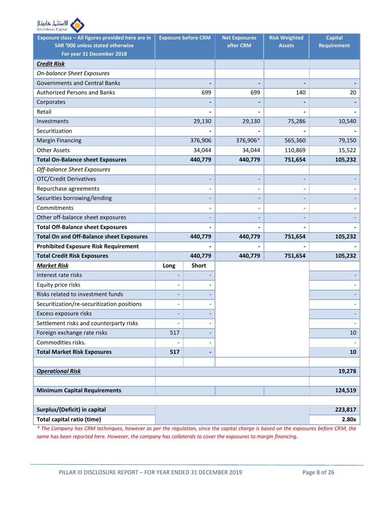

| Exposure class - All figures provided here are in |      | <b>Exposure before CRM</b>   | <b>Net Exposures</b> | <b>Risk Weighted</b> | <b>Capital</b>     |
|---------------------------------------------------|------|------------------------------|----------------------|----------------------|--------------------|
| <b>SAR '000 unless stated otherwise</b>           |      |                              | after CRM            | <b>Assets</b>        | <b>Requirement</b> |
| For year 31 December 2018                         |      |                              |                      |                      |                    |
| <b>Credit Risk</b>                                |      |                              |                      |                      |                    |
| <b>On-balance Sheet Exposures</b>                 |      |                              |                      |                      |                    |
| <b>Governments and Central Banks</b>              |      |                              |                      |                      |                    |
| <b>Authorized Persons and Banks</b>               |      | 699                          | 699                  | 140                  | 20                 |
| Corporates                                        |      |                              |                      |                      |                    |
| Retail                                            |      |                              |                      |                      |                    |
| Investments                                       |      | 29,130                       | 29,130               | 75,286               | 10,540             |
| Securitization                                    |      |                              |                      |                      |                    |
| <b>Margin Financing</b>                           |      | 376,906                      | 376,906*             | 565,360              | 79,150             |
| <b>Other Assets</b>                               |      | 34,044                       | 34,044               | 110,869              | 15,522             |
| <b>Total On-Balance sheet Exposures</b>           |      | 440,779                      | 440,779              | 751,654              | 105,232            |
| Off-balance Sheet Exposures                       |      |                              |                      |                      |                    |
| <b>OTC/Credit Derivatives</b>                     |      |                              |                      |                      |                    |
| Repurchase agreements                             |      | $\qquad \qquad \blacksquare$ |                      |                      |                    |
| Securities borrowing/lending                      |      |                              |                      |                      |                    |
| Commitments                                       |      |                              |                      |                      |                    |
| Other off-balance sheet exposures                 |      |                              |                      |                      |                    |
| <b>Total Off-Balance sheet Exposures</b>          |      |                              |                      |                      |                    |
| <b>Total On and Off-Balance sheet Exposures</b>   |      | 440,779                      | 440,779              | 751,654              | 105,232            |
| <b>Prohibited Exposure Risk Requirement</b>       |      |                              |                      |                      |                    |
| <b>Total Credit Risk Exposures</b>                |      | 440,779                      | 440,779              | 751,654              | 105,232            |
| <b>Market Risk</b>                                | Long | <b>Short</b>                 |                      |                      |                    |
| Interest rate risks                               |      |                              |                      |                      |                    |
| Equity price risks                                |      |                              |                      |                      |                    |
| Risks related to investment funds                 |      |                              |                      |                      |                    |
| Securitization/re-securitization positions        |      |                              |                      |                      |                    |
| Excess exposure risks                             |      |                              |                      |                      |                    |
| Settlement risks and counterparty risks           |      | $\qquad \qquad -$            |                      |                      |                    |
| Foreign exchange rate risks                       | 517  |                              |                      |                      | $10\,$             |
| Commodities risks.                                |      |                              |                      |                      |                    |
| <b>Total Market Risk Exposures</b>                | 517  |                              |                      |                      | 10                 |
|                                                   |      |                              |                      |                      |                    |
| <b>Operational Risk</b>                           |      |                              |                      |                      | 19,278             |
|                                                   |      |                              |                      |                      |                    |
| <b>Minimum Capital Requirements</b>               |      |                              |                      |                      | 124,519            |
|                                                   |      |                              |                      |                      |                    |
| Surplus/(Deficit) in capital                      |      |                              |                      |                      | 223,817            |
| <b>Total capital ratio (time)</b>                 |      |                              |                      |                      | 2.80x              |

*\* The Company has CRM techniques, however as per the regulation, since the capital charge is based on the exposures before CRM, the same has been reported here. However, the company has collaterals to cover the exposures to margin financing.*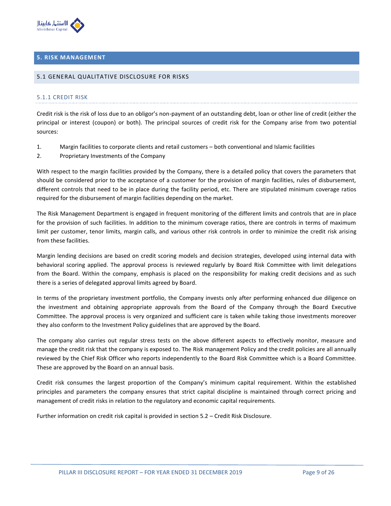

## **5. RISK MANAGEMENT**

#### 5.1 GENERAL QUALITATIVE DISCLOSURE FOR RISKS

#### 5.1.1 CREDIT RISK

Credit risk is the risk of loss due to an obligor's non-payment of an outstanding debt, loan or other line of credit (either the principal or interest (coupon) or both). The principal sources of credit risk for the Company arise from two potential sources:

- 1. Margin facilities to corporate clients and retail customers both conventional and Islamic facilities
- 2. Proprietary Investments of the Company

With respect to the margin facilities provided by the Company, there is a detailed policy that covers the parameters that should be considered prior to the acceptance of a customer for the provision of margin facilities, rules of disbursement, different controls that need to be in place during the facility period, etc. There are stipulated minimum coverage ratios required for the disbursement of margin facilities depending on the market.

The Risk Management Department is engaged in frequent monitoring of the different limits and controls that are in place for the provision of such facilities. In addition to the minimum coverage ratios, there are controls in terms of maximum limit per customer, tenor limits, margin calls, and various other risk controls in order to minimize the credit risk arising from these facilities.

Margin lending decisions are based on credit scoring models and decision strategies, developed using internal data with behavioral scoring applied. The approval process is reviewed regularly by Board Risk Committee with limit delegations from the Board. Within the company, emphasis is placed on the responsibility for making credit decisions and as such there is a series of delegated approval limits agreed by Board.

In terms of the proprietary investment portfolio, the Company invests only after performing enhanced due diligence on the investment and obtaining appropriate approvals from the Board of the Company through the Board Executive Committee. The approval process is very organized and sufficient care is taken while taking those investments moreover they also conform to the Investment Policy guidelines that are approved by the Board.

The company also carries out regular stress tests on the above different aspects to effectively monitor, measure and manage the credit risk that the company is exposed to. The Risk management Policy and the credit policies are all annually reviewed by the Chief Risk Officer who reports independently to the Board Risk Committee which is a Board Committee. These are approved by the Board on an annual basis.

Credit risk consumes the largest proportion of the Company's minimum capital requirement. Within the established principles and parameters the company ensures that strict capital discipline is maintained through correct pricing and management of credit risks in relation to the regulatory and economic capital requirements.

Further information on credit risk capital is provided in section 5.2 – Credit Risk Disclosure.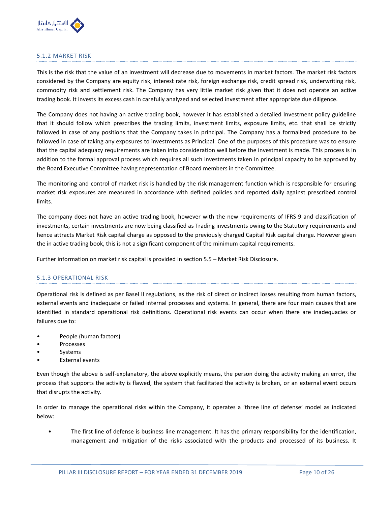

## 5.1.2 MARKET RISK

This is the risk that the value of an investment will decrease due to movements in market factors. The market risk factors considered by the Company are equity risk, interest rate risk, foreign exchange risk, credit spread risk, underwriting risk, commodity risk and settlement risk. The Company has very little market risk given that it does not operate an active trading book. It invests its excess cash in carefully analyzed and selected investment after appropriate due diligence.

The Company does not having an active trading book, however it has established a detailed Investment policy guideline that it should follow which prescribes the trading limits, investment limits, exposure limits, etc. that shall be strictly followed in case of any positions that the Company takes in principal. The Company has a formalized procedure to be followed in case of taking any exposures to investments as Principal. One of the purposes of this procedure was to ensure that the capital adequacy requirements are taken into consideration well before the investment is made. This process is in addition to the formal approval process which requires all such investments taken in principal capacity to be approved by the Board Executive Committee having representation of Board members in the Committee.

The monitoring and control of market risk is handled by the risk management function which is responsible for ensuring market risk exposures are measured in accordance with defined policies and reported daily against prescribed control limits.

The company does not have an active trading book, however with the new requirements of IFRS 9 and classification of investments, certain investments are now being classified as Trading investments owing to the Statutory requirements and hence attracts Market Risk capital charge as opposed to the previously charged Capital Risk capital charge. However given the in active trading book, this is not a significant component of the minimum capital requirements.

Further information on market risk capital is provided in section 5.5 – Market Risk Disclosure.

#### 5.1.3 OPERATIONAL RISK

Operational risk is defined as per Basel II regulations, as the risk of direct or indirect losses resulting from human factors, external events and inadequate or failed internal processes and systems. In general, there are four main causes that are identified in standard operational risk definitions. Operational risk events can occur when there are inadequacies or failures due to:

- People (human factors)
- **Processes**
- **Systems**
- **External events**

Even though the above is self-explanatory, the above explicitly means, the person doing the activity making an error, the process that supports the activity is flawed, the system that facilitated the activity is broken, or an external event occurs that disrupts the activity.

In order to manage the operational risks within the Company, it operates a 'three line of defense' model as indicated below:

• The first line of defense is business line management. It has the primary responsibility for the identification, management and mitigation of the risks associated with the products and processed of its business. It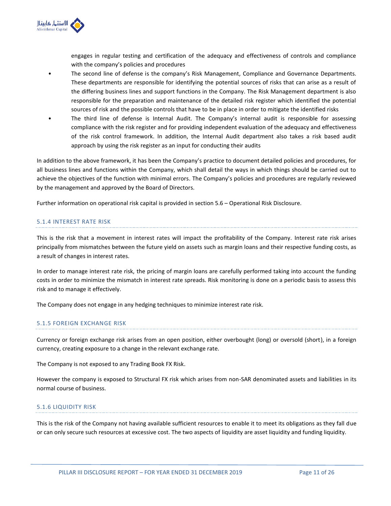

engages in regular testing and certification of the adequacy and effectiveness of controls and compliance with the company's policies and procedures

- The second line of defense is the company's Risk Management, Compliance and Governance Departments. These departments are responsible for identifying the potential sources of risks that can arise as a result of the differing business lines and support functions in the Company. The Risk Management department is also responsible for the preparation and maintenance of the detailed risk register which identified the potential sources of risk and the possible controls that have to be in place in order to mitigate the identified risks
- The third line of defense is Internal Audit. The Company's internal audit is responsible for assessing compliance with the risk register and for providing independent evaluation of the adequacy and effectiveness of the risk control framework. In addition, the Internal Audit department also takes a risk based audit approach by using the risk register as an input for conducting their audits

In addition to the above framework, it has been the Company's practice to document detailed policies and procedures, for all business lines and functions within the Company, which shall detail the ways in which things should be carried out to achieve the objectives of the function with minimal errors. The Company's policies and procedures are regularly reviewed by the management and approved by the Board of Directors.

Further information on operational risk capital is provided in section 5.6 – Operational Risk Disclosure.

## 5.1.4 INTEREST RATE RISK

This is the risk that a movement in interest rates will impact the profitability of the Company. Interest rate risk arises principally from mismatches between the future yield on assets such as margin loans and their respective funding costs, as a result of changes in interest rates.

In order to manage interest rate risk, the pricing of margin loans are carefully performed taking into account the funding costs in order to minimize the mismatch in interest rate spreads. Risk monitoring is done on a periodic basis to assess this risk and to manage it effectively.

The Company does not engage in any hedging techniques to minimize interest rate risk.

## 5.1.5 FOREIGN EXCHANGE RISK

Currency or foreign exchange risk arises from an open position, either overbought (long) or oversold (short), in a foreign currency, creating exposure to a change in the relevant exchange rate.

The Company is not exposed to any Trading Book FX Risk.

However the company is exposed to Structural FX risk which arises from non-SAR denominated assets and liabilities in its normal course of business.

#### 5.1.6 LIQUIDITY RISK

This is the risk of the Company not having available sufficient resources to enable it to meet its obligations as they fall due or can only secure such resources at excessive cost. The two aspects of liquidity are asset liquidity and funding liquidity.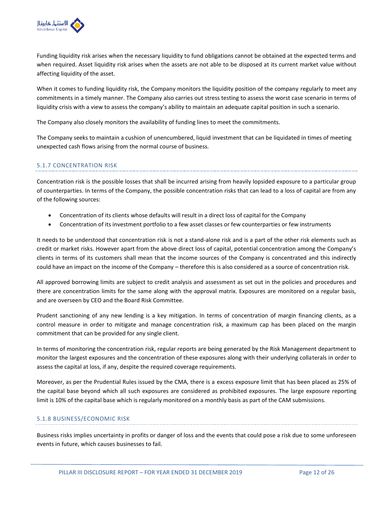

Funding liquidity risk arises when the necessary liquidity to fund obligations cannot be obtained at the expected terms and when required. Asset liquidity risk arises when the assets are not able to be disposed at its current market value without affecting liquidity of the asset.

When it comes to funding liquidity risk, the Company monitors the liquidity position of the company regularly to meet any commitments in a timely manner. The Company also carries out stress testing to assess the worst case scenario in terms of liquidity crisis with a view to assess the company's ability to maintain an adequate capital position in such a scenario.

The Company also closely monitors the availability of funding lines to meet the commitments.

The Company seeks to maintain a cushion of unencumbered, liquid investment that can be liquidated in times of meeting unexpected cash flows arising from the normal course of business.

## 5.1.7 CONCENTRATION RISK

Concentration risk is the possible losses that shall be incurred arising from heavily lopsided exposure to a particular group of counterparties. In terms of the Company, the possible concentration risks that can lead to a loss of capital are from any of the following sources:

- Concentration of its clients whose defaults will result in a direct loss of capital for the Company
- Concentration of its investment portfolio to a few asset classes or few counterparties or few instruments

It needs to be understood that concentration risk is not a stand-alone risk and is a part of the other risk elements such as credit or market risks. However apart from the above direct loss of capital, potential concentration among the Company's clients in terms of its customers shall mean that the income sources of the Company is concentrated and this indirectly could have an impact on the income of the Company – therefore this is also considered as a source of concentration risk.

All approved borrowing limits are subject to credit analysis and assessment as set out in the policies and procedures and there are concentration limits for the same along with the approval matrix. Exposures are monitored on a regular basis, and are overseen by CEO and the Board Risk Committee.

Prudent sanctioning of any new lending is a key mitigation. In terms of concentration of margin financing clients, as a control measure in order to mitigate and manage concentration risk, a maximum cap has been placed on the margin commitment that can be provided for any single client.

In terms of monitoring the concentration risk, regular reports are being generated by the Risk Management department to monitor the largest exposures and the concentration of these exposures along with their underlying collaterals in order to assess the capital at loss, if any, despite the required coverage requirements.

Moreover, as per the Prudential Rules issued by the CMA, there is a excess exposure limit that has been placed as 25% of the capital base beyond which all such exposures are considered as prohibited exposures. The large exposure reporting limit is 10% of the capital base which is regularly monitored on a monthly basis as part of the CAM submissions.

## 5.1.8 BUSINESS/ECONOMIC RISK

Business risks implies uncertainty in profits or danger of loss and the events that could pose a risk due to some unforeseen events in future, which causes businesses to fail.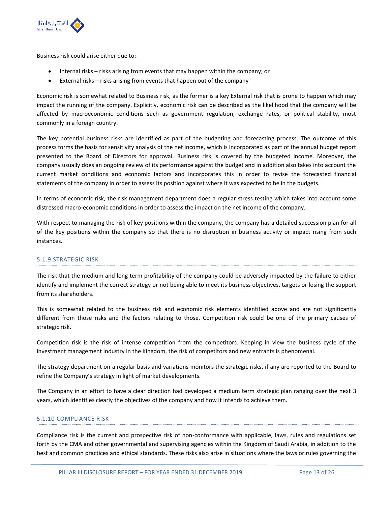

Business risk could arise either due to:

- Internal risks risks arising from events that may happen within the company; or
- External risks risks arising from events that happen out of the company

Economic risk is somewhat related to Business risk, as the former is a key External risk that is prone to happen which may impact the running of the company. Explicitly, economic risk can be described as the likelihood that the company will be affected by macroeconomic conditions such as government regulation, exchange rates, or political stability, most commonly in a foreign country.

The key potential business risks are identified as part of the budgeting and forecasting process. The outcome of this process forms the basis for sensitivity analysis of the net income, which is incorporated as part of the annual budget report presented to the Board of Directors for approval. Business risk is covered by the budgeted income. Moreover, the company usually does an ongoing review of its performance against the budget and in addition also takes into account the current market conditions and economic factors and incorporates this in order to revise the forecasted financial statements of the company in order to assess its position against where it was expected to be in the budgets.

In terms of economic risk, the risk management department does a regular stress testing which takes into account some distressed macro-economic conditions in order to assess the impact on the net income of the company.

With respect to managing the risk of key positions within the company, the company has a detailed succession plan for all of the key positions within the company so that there is no disruption in business activity or impact rising from such instances.

## 5.1.9 STRATEGIC RISK

The risk that the medium and long term profitability of the company could be adversely impacted by the failure to either identify and implement the correct strategy or not being able to meet its business objectives, targets or losing the support from its shareholders.

This is somewhat related to the business risk and economic risk elements identified above and are not significantly different from those risks and the factors relating to those. Competition risk could be one of the primary causes of strategic risk.

Competition risk is the risk of intense competition from the competitors. Keeping in view the business cycle of the investment management industry in the Kingdom, the risk of competitors and new entrants is phenomenal.

The strategy department on a regular basis and variations monitors the strategic risks, if any are reported to the Board to refine the Company's strategy in light of market developments.

The Company in an effort to have a clear direction had developed a medium term strategic plan ranging over the next 3 years, which identifies clearly the objectives of the company and how it intends to achieve them.

## 5.1.10 COMPLIANCE RISK

Compliance risk is the current and prospective risk of non-conformance with applicable, laws, rules and regulations set forth by the CMA and other governmental and supervising agencies within the Kingdom of Saudi Arabia, in addition to the best and common practices and ethical standards. These risks also arise in situations where the laws or rules governing the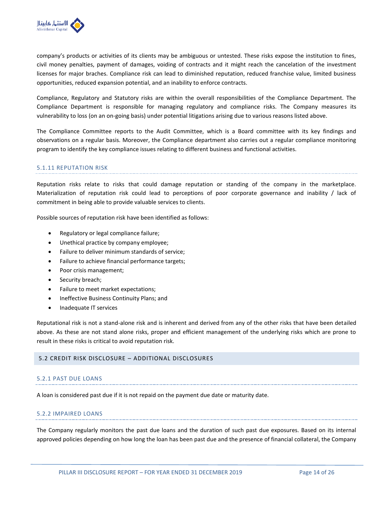

company's products or activities of its clients may be ambiguous or untested. These risks expose the institution to fines, civil money penalties, payment of damages, voiding of contracts and it might reach the cancelation of the investment licenses for major braches. Compliance risk can lead to diminished reputation, reduced franchise value, limited business opportunities, reduced expansion potential, and an inability to enforce contracts.

Compliance, Regulatory and Statutory risks are within the overall responsibilities of the Compliance Department. The Compliance Department is responsible for managing regulatory and compliance risks. The Company measures its vulnerability to loss (on an on-going basis) under potential litigations arising due to various reasons listed above.

The Compliance Committee reports to the Audit Committee, which is a Board committee with its key findings and observations on a regular basis. Moreover, the Compliance department also carries out a regular compliance monitoring program to identify the key compliance issues relating to different business and functional activities.

#### 5.1.11 REPUTATION RISK

Reputation risks relate to risks that could damage reputation or standing of the company in the marketplace. Materialization of reputation risk could lead to perceptions of poor corporate governance and inability / lack of commitment in being able to provide valuable services to clients.

Possible sources of reputation risk have been identified as follows:

- Regulatory or legal compliance failure;
- Unethical practice by company employee;
- Failure to deliver minimum standards of service;
- Failure to achieve financial performance targets;
- Poor crisis management;
- Security breach;
- Failure to meet market expectations;
- Ineffective Business Continuity Plans; and
- Inadequate IT services

Reputational risk is not a stand-alone risk and is inherent and derived from any of the other risks that have been detailed above. As these are not stand alone risks, proper and efficient management of the underlying risks which are prone to result in these risks is critical to avoid reputation risk.

## 5.2 CREDIT RISK DISCLOSURE – ADDITIONAL DISCLOSURES

#### 5.2.1 PAST DUE LOANS

A loan is considered past due if it is not repaid on the payment due date or maturity date.

#### 5.2.2 IMPAIRED LOANS

The Company regularly monitors the past due loans and the duration of such past due exposures. Based on its internal approved policies depending on how long the loan has been past due and the presence of financial collateral, the Company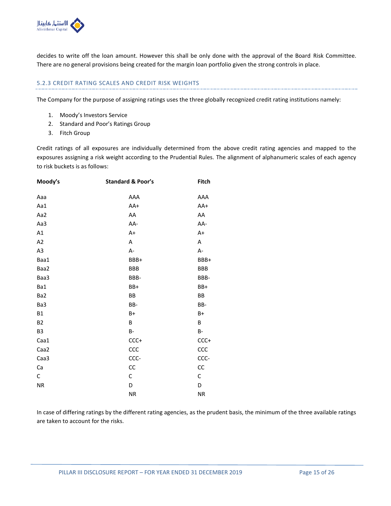

decides to write off the loan amount. However this shall be only done with the approval of the Board Risk Committee. There are no general provisions being created for the margin loan portfolio given the strong controls in place.

## 5.2.3 CREDIT RATING SCALES AND CREDIT RISK WEIGHTS

The Company for the purpose of assigning ratings uses the three globally recognized credit rating institutions namely:

- 1. Moody's Investors Service
- 2. Standard and Poor's Ratings Group
- 3. Fitch Group

Credit ratings of all exposures are individually determined from the above credit rating agencies and mapped to the exposures assigning a risk weight according to the Prudential Rules. The alignment of alphanumeric scales of each agency to risk buckets is as follows:

| Moody's        | <b>Standard &amp; Poor's</b> | Fitch      |
|----------------|------------------------------|------------|
| Aaa            | AAA                          | AAA        |
| Aa1            | AA+                          | AA+        |
| Aa2            | AA                           | AA         |
| Aa3            | AA-                          | AA-        |
| A1             | $A+$                         | $A+$       |
| A2             | Α                            | A          |
| A <sub>3</sub> | A-                           | A-         |
| Baa1           | BBB+                         | BBB+       |
| Baa2           | <b>BBB</b>                   | <b>BBB</b> |
| Baa3           | BBB-                         | BBB-       |
| Ba1            | BB+                          | BB+        |
| Ba2            | BB                           | BB         |
| Ba3            | BB-                          | BB-        |
| <b>B1</b>      | B+                           | $B+$       |
| <b>B2</b>      | B                            | B          |
| B <sub>3</sub> | <b>B-</b>                    | <b>B-</b>  |
| Caa1           | $CCC+$                       | $CCC+$     |
| Caa2           | CCC                          | CCC        |
| Caa3           | CCC-                         | CCC-       |
| Ca             | CC                           | CC         |
| C              | С                            | С          |
| <b>NR</b>      | D                            | D          |
|                | <b>NR</b>                    | <b>NR</b>  |

In case of differing ratings by the different rating agencies, as the prudent basis, the minimum of the three available ratings are taken to account for the risks.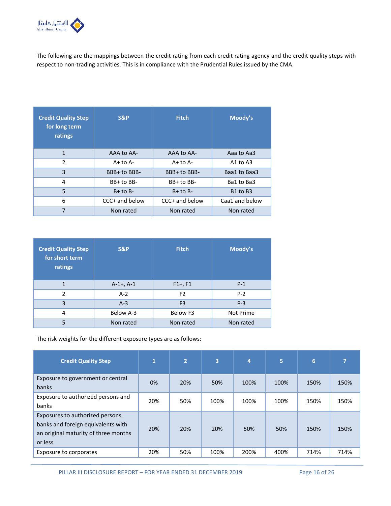

The following are the mappings between the credit rating from each credit rating agency and the credit quality steps with respect to non-trading activities. This is in compliance with the Prudential Rules issued by the CMA.

| <b>Credit Quality Step</b><br>for long term<br>ratings | <b>S&amp;P</b> | <b>Fitch</b>   | Moody's                          |  |  |
|--------------------------------------------------------|----------------|----------------|----------------------------------|--|--|
| $\mathbf{1}$                                           | AAA to AA-     | AAA to AA-     | Aaa to Aa3                       |  |  |
| $\overline{2}$                                         | $A+$ to $A-$   | $A+$ to $A-$   | A1 to $A3$                       |  |  |
| 3                                                      | BBB+ to BBB-   | BBB+ to BBB-   | Baa1 to Baa3                     |  |  |
| 4                                                      | BB+ to BB-     | BB+ to BB-     | Ba1 to Ba3                       |  |  |
| 5                                                      | $B+$ to $B-$   | $B+$ to $B-$   | B <sub>1</sub> to B <sub>3</sub> |  |  |
| 6                                                      | CCC+ and below | CCC+ and below | Caa1 and below                   |  |  |
| 7                                                      | Non rated      | Non rated      | Non rated                        |  |  |

| <b>Credit Quality Step</b><br>for short term<br>ratings | S&P            | <b>Fitch</b>   | Moody's   |  |  |
|---------------------------------------------------------|----------------|----------------|-----------|--|--|
| 1                                                       | $A-1+$ , $A-1$ | $F1+, F1$      | $P-1$     |  |  |
| $\mathfrak{p}$                                          | $A-2$          | F <sub>2</sub> | $P-2$     |  |  |
| 3                                                       | $A-3$          | F <sub>3</sub> | $P-3$     |  |  |
| 4                                                       | Below A-3      | Below F3       | Not Prime |  |  |
| 5                                                       | Non rated      | Non rated      | Non rated |  |  |

The risk weights for the different exposure types are as follows:

| <b>Credit Quality Step</b>                                                                                                | $\mathbf{1}$ | $\overline{2}$ | 3    | 4    | 5    | 6    | ⇁    |
|---------------------------------------------------------------------------------------------------------------------------|--------------|----------------|------|------|------|------|------|
| Exposure to government or central<br>banks                                                                                | 0%           | 20%            | 50%  | 100% | 100% | 150% | 150% |
| Exposure to authorized persons and<br>banks                                                                               | 20%          | 50%            | 100% | 100% | 100% | 150% | 150% |
| Exposures to authorized persons,<br>banks and foreign equivalents with<br>an original maturity of three months<br>or less | 20%          | 20%            | 20%  | 50%  | 50%  | 150% | 150% |
| Exposure to corporates                                                                                                    | 20%          | 50%            | 100% | 200% | 400% | 714% | 714% |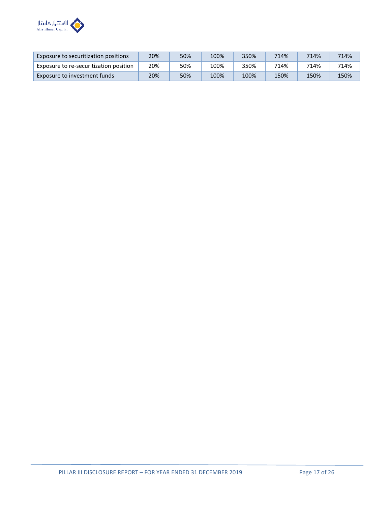

| Exposure to securitization positions   | 20% | 50% | 100% | 350% | 714% | 714% | 714% |
|----------------------------------------|-----|-----|------|------|------|------|------|
| Exposure to re-securitization position | 20% | 50% | 100% | 350% | 714% | 714% | 714% |
| Exposure to investment funds           | 20% | 50% | 100% | 100% | 150% | 150% | 150% |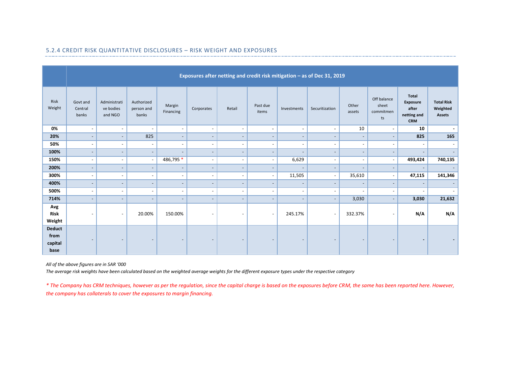|                                          | Exposures after netting and credit risk mitigation - as of Dec 31, 2019 |                                      |                                   |                          |                          |                          |                          |                          |                          |                              |                                         |                                                                       |                                                |
|------------------------------------------|-------------------------------------------------------------------------|--------------------------------------|-----------------------------------|--------------------------|--------------------------|--------------------------|--------------------------|--------------------------|--------------------------|------------------------------|-----------------------------------------|-----------------------------------------------------------------------|------------------------------------------------|
| Risk<br>Weight                           | Govt and<br>Central<br>banks                                            | Administrati<br>ve bodies<br>and NGO | Authorized<br>person and<br>banks | Margin<br>Financing      | Corporates               | Retail                   | Past due<br>items        | Investments              | Securitization           | Other<br>assets              | Off balance<br>sheet<br>commitmen<br>ts | <b>Total</b><br><b>Exposure</b><br>after<br>netting and<br><b>CRM</b> | <b>Total Risk</b><br>Weighted<br><b>Assets</b> |
| 0%                                       | $\overline{\phantom{a}}$                                                | $\sim$                               | $\overline{\phantom{a}}$          | $\sim$                   | $\sim$                   | $\overline{\phantom{a}}$ | $\overline{\phantom{a}}$ | $\sim$                   | $\blacksquare$           | 10                           | $\sim$                                  | 10                                                                    | ۰.                                             |
| 20%                                      | $\overline{\phantom{a}}$                                                | $\sim$                               | 825                               | $\overline{\phantom{a}}$ | $\sim$                   | $\overline{\phantom{a}}$ | $\overline{\phantom{a}}$ | $\overline{\phantom{a}}$ | $\overline{\phantom{a}}$ | $\overline{\phantom{a}}$     | $\overline{\phantom{a}}$                | 825                                                                   | 165                                            |
| 50%                                      | $\qquad \qquad \blacksquare$                                            | $\overline{\phantom{a}}$             | $\overline{\phantom{a}}$          | $\blacksquare$           | $\overline{\phantom{a}}$ | $\overline{\phantom{a}}$ | $\overline{\phantom{a}}$ | $\overline{\phantom{a}}$ | $\overline{\phantom{a}}$ | ٠                            | $\overline{\phantom{a}}$                | $\overline{\phantom{a}}$                                              | $\overline{\phantom{a}}$                       |
| 100%                                     | $\qquad \qquad \blacksquare$                                            | $\overline{\phantom{a}}$             | $\overline{\phantom{a}}$          | $\overline{\phantom{a}}$ | $\overline{\phantom{a}}$ | $\overline{\phantom{a}}$ | $\overline{\phantom{a}}$ | $\overline{a}$           | $\overline{\phantom{a}}$ | $\overline{\phantom{a}}$     | $\overline{\phantom{a}}$                | $\overline{\phantom{a}}$                                              |                                                |
| 150%                                     | $\overline{\phantom{a}}$                                                | $\overline{\phantom{a}}$             | $\blacksquare$                    | 486,795 *                | $\overline{\phantom{a}}$ | $\overline{\phantom{a}}$ | $\blacksquare$           | 6,629                    | $\overline{\phantom{a}}$ | $\overline{\phantom{a}}$     | $\overline{\phantom{a}}$                | 493,424                                                               | 740,135                                        |
| 200%                                     | $\qquad \qquad \blacksquare$                                            | $\overline{\phantom{a}}$             | $\overline{\phantom{a}}$          | $\overline{\phantom{a}}$ | $\overline{\phantom{a}}$ | $\overline{\phantom{a}}$ | $\overline{\phantom{a}}$ |                          | $\overline{\phantom{a}}$ | $\qquad \qquad \blacksquare$ | $\blacksquare$                          | $\overline{\phantom{a}}$                                              |                                                |
| 300%                                     | $\qquad \qquad \blacksquare$                                            | $\overline{\phantom{a}}$             | $\overline{\phantom{a}}$          | $\blacksquare$           | $\overline{\phantom{a}}$ | $\overline{\phantom{a}}$ | $\blacksquare$           | 11,505                   | $\sim$                   | 35,610                       | $\blacksquare$                          | 47,115                                                                | 141,346                                        |
| 400%                                     | $\qquad \qquad \blacksquare$                                            | $\overline{\phantom{a}}$             |                                   | $\overline{\phantom{a}}$ | $\overline{\phantom{a}}$ | $\overline{\phantom{a}}$ | $\overline{\phantom{a}}$ | $\overline{\phantom{a}}$ | $\overline{\phantom{a}}$ |                              | $\overline{\phantom{a}}$                | $\overline{\phantom{a}}$                                              | $\overline{\phantom{a}}$                       |
| 500%                                     | $\overline{\phantom{a}}$                                                | $\sim$                               | $\overline{\phantom{a}}$          | $\blacksquare$           | $\sim$                   | $\overline{\phantom{a}}$ | $\overline{\phantom{a}}$ | $\overline{\phantom{a}}$ | $\overline{\phantom{a}}$ | ٠                            | $\blacksquare$                          | $\overline{\phantom{a}}$                                              | $\overline{\phantom{a}}$                       |
| 714%                                     | $\overline{\phantom{a}}$                                                | $\overline{\phantom{a}}$             | $\overline{\phantom{a}}$          | $\overline{\phantom{a}}$ | $\overline{\phantom{a}}$ | $\overline{\phantom{a}}$ | $\overline{\phantom{a}}$ | $\overline{\phantom{a}}$ | $\overline{\phantom{a}}$ | 3,030                        | $\overline{\phantom{a}}$                | 3,030                                                                 | 21,632                                         |
| Avg<br><b>Risk</b><br>Weight             | $\overline{\phantom{a}}$                                                | $\overline{\phantom{a}}$             | 20.00%                            | 150.00%                  | $\overline{\phantom{a}}$ | $\overline{\phantom{a}}$ | $\overline{\phantom{a}}$ | 245.17%                  | $\overline{\phantom{a}}$ | 332.37%                      | $\overline{\phantom{a}}$                | N/A                                                                   | N/A                                            |
| <b>Deduct</b><br>from<br>capital<br>base | $\overline{\phantom{0}}$                                                | $\overline{\phantom{a}}$             | $\overline{\phantom{a}}$          | $\overline{\phantom{a}}$ | $\overline{\phantom{a}}$ | $\overline{\phantom{a}}$ | $\overline{\phantom{a}}$ | $\overline{\phantom{a}}$ | $\overline{\phantom{a}}$ | $\overline{\phantom{a}}$     | $\overline{\phantom{a}}$                | $\blacksquare$                                                        |                                                |

## 5.2.4 CREDIT RISK QUANTITATIVE DISCLOSURES – RISK WEIGHT AND EXPOSURES

*All of the above figures are in SAR '000*

*The average risk weights have been calculated based on the weighted average weights for the different exposure types under the respective category*

*\* The Company has CRM techniques, however as per the regulation, since the capital charge is based on the exposures before CRM, the same has been reported here. However, the company has collaterals to cover the exposures to margin financing.*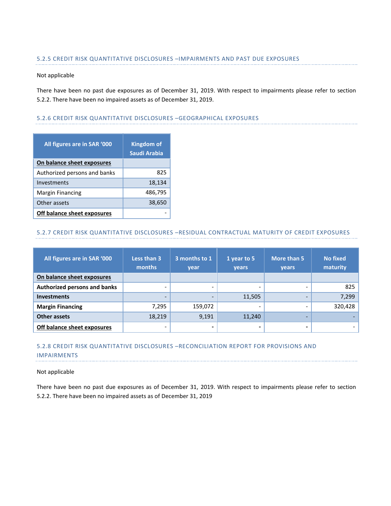#### 5.2.5 CREDIT RISK QUANTITATIVE DISCLOSURES –IMPAIRMENTS AND PAST DUE EXPOSURES

#### Not applicable

There have been no past due exposures as of December 31, 2019. With respect to impairments please refer to section 5.2.2. There have been no impaired assets as of December 31, 2019.

#### 5.2.6 CREDIT RISK QUANTITATIVE DISCLOSURES –GEOGRAPHICAL EXPOSURES

| All figures are in SAR '000  | <b>Kingdom of</b><br>Saudi Arabia |
|------------------------------|-----------------------------------|
| On balance sheet exposures   |                                   |
| Authorized persons and banks | 825                               |
| Investments                  | 18,134                            |
| <b>Margin Financing</b>      | 486,795                           |
| Other assets                 | 38,650                            |
| Off balance sheet exposures  |                                   |

#### 5.2.7 CREDIT RISK QUANTITATIVE DISCLOSURES –RESIDUAL CONTRACTUAL MATURITY OF CREDIT EXPOSURES

| All figures are in SAR '000  | Less than 3<br>months    | 3 months to 1<br>year    | 1 year to 5<br>years | More than 5<br>years | <b>No fixed</b><br>maturity |
|------------------------------|--------------------------|--------------------------|----------------------|----------------------|-----------------------------|
| On balance sheet exposures   |                          |                          |                      |                      |                             |
| Authorized persons and banks | $\overline{\phantom{0}}$ | $\overline{\phantom{a}}$ | -                    | -                    | 825                         |
| <b>Investments</b>           | -                        | -                        | 11,505               |                      | 7,299                       |
| <b>Margin Financing</b>      | 7,295                    | 159,072                  |                      |                      | 320,428                     |
| Other assets                 | 18,219                   | 9,191                    | 11,240               | -                    |                             |
| Off balance sheet exposures  | -                        |                          |                      |                      |                             |

## 5.2.8 CREDIT RISK QUANTITATIVE DISCLOSURES –RECONCILIATION REPORT FOR PROVISIONS AND IMPAIRMENTS

#### Not applicable

There have been no past due exposures as of December 31, 2019. With respect to impairments please refer to section 5.2.2. There have been no impaired assets as of December 31, 2019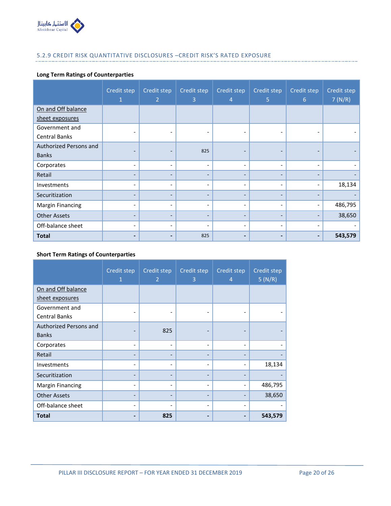

## 5.2.9 CREDIT RISK QUANTITATIVE DISCLOSURES –CREDIT RISK'S RATED EXPOSURE

## **Long Term Ratings of Counterparties**

|                         | Credit step              | Credit step<br>$\overline{2}$ | Credit step<br>3         | Credit step<br>4             | Credit step<br>5         | Credit step<br>6         | Credit step<br>7(N/R) |
|-------------------------|--------------------------|-------------------------------|--------------------------|------------------------------|--------------------------|--------------------------|-----------------------|
| On and Off balance      |                          |                               |                          |                              |                          |                          |                       |
| sheet exposures         |                          |                               |                          |                              |                          |                          |                       |
| Government and          |                          |                               |                          |                              |                          |                          |                       |
| <b>Central Banks</b>    |                          |                               |                          |                              |                          |                          |                       |
| Authorized Persons and  |                          |                               | 825                      |                              | $\qquad \qquad$          |                          |                       |
| <b>Banks</b>            |                          | -                             |                          |                              |                          |                          |                       |
| Corporates              | $\overline{\phantom{a}}$ | $\overline{\phantom{0}}$      | $\overline{\phantom{0}}$ | $\overline{\phantom{a}}$     | $\overline{\phantom{0}}$ | $\overline{\phantom{a}}$ |                       |
| Retail                  |                          | -                             | $\overline{\phantom{0}}$ | $\overline{\phantom{0}}$     |                          |                          |                       |
| Investments             | $\overline{\phantom{a}}$ | $\qquad \qquad -$             | -                        | $\overline{\phantom{a}}$     | ٠                        | $\overline{\phantom{0}}$ | 18,134                |
| Securitization          |                          | $\overline{\phantom{0}}$      | $\overline{\phantom{0}}$ | $\overline{\phantom{a}}$     |                          |                          |                       |
| <b>Margin Financing</b> | ٠                        | ٠                             | $\overline{\phantom{a}}$ | $\overline{\phantom{a}}$     | ٠                        | $\overline{\phantom{0}}$ | 486,795               |
| <b>Other Assets</b>     | $\overline{\phantom{0}}$ | $\overline{\phantom{0}}$      | -                        | $\qquad \qquad \blacksquare$ | $\overline{\phantom{0}}$ |                          | 38,650                |
| Off-balance sheet       | $\overline{\phantom{a}}$ | $\overline{\phantom{a}}$      | $\overline{a}$           | $\overline{\phantom{a}}$     | ۰                        | $\overline{\phantom{0}}$ |                       |
| <b>Total</b>            |                          |                               | 825                      |                              |                          |                          | 543,579               |

## **Short Term Ratings of Counterparties**

|                         | Credit step<br>n | Credit step<br>$\overline{2}$ | Credit step<br>3 | Credit step<br>$\overline{4}$ | Credit step<br>5(N/R) |
|-------------------------|------------------|-------------------------------|------------------|-------------------------------|-----------------------|
| On and Off balance      |                  |                               |                  |                               |                       |
| sheet exposures         |                  |                               |                  |                               |                       |
| Government and          |                  |                               |                  |                               |                       |
| <b>Central Banks</b>    |                  |                               |                  |                               |                       |
| Authorized Persons and  |                  | 825                           |                  |                               |                       |
| <b>Banks</b>            |                  |                               |                  |                               |                       |
| Corporates              | -                | $\overline{\phantom{a}}$      |                  | $\overline{\phantom{a}}$      |                       |
| Retail                  |                  |                               |                  |                               |                       |
| Investments             |                  |                               |                  | $\overline{\phantom{a}}$      | 18,134                |
| Securitization          |                  |                               |                  |                               |                       |
| <b>Margin Financing</b> |                  |                               |                  |                               | 486,795               |
| <b>Other Assets</b>     |                  |                               |                  |                               | 38,650                |
| Off-balance sheet       |                  |                               |                  | $\overline{\phantom{0}}$      |                       |
| Total                   |                  | 825                           |                  |                               | 543,579               |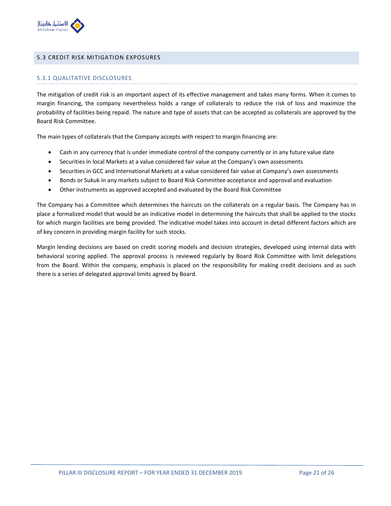

#### 5.3 CREDIT RISK MITIGATION EXPOSURES

#### 5.3.1 QUALITATIVE DISCLOSURES

The mitigation of credit risk is an important aspect of its effective management and takes many forms. When it comes to margin financing, the company nevertheless holds a range of collaterals to reduce the risk of loss and maximize the probability of facilities being repaid. The nature and type of assets that can be accepted as collaterals are approved by the Board Risk Committee.

The main types of collaterals that the Company accepts with respect to margin financing are:

- Cash in any currency that is under immediate control of the company currently or in any future value date
- Securities in local Markets at a value considered fair value at the Company's own assessments
- Securities in GCC and International Markets at a value considered fair value at Company's own assessments
- Bonds or Sukuk in any markets subject to Board Risk Committee acceptance and approval and evaluation
- Other instruments as approved accepted and evaluated by the Board Risk Committee

The Company has a Committee which determines the haircuts on the collaterals on a regular basis. The Company has in place a formalized model that would be an indicative model in determining the haircuts that shall be applied to the stocks for which margin facilities are being provided. The indicative model takes into account in detail different factors which are of key concern in providing margin facility for such stocks.

Margin lending decisions are based on credit scoring models and decision strategies, developed using internal data with behavioral scoring applied. The approval process is reviewed regularly by Board Risk Committee with limit delegations from the Board. Within the company, emphasis is placed on the responsibility for making credit decisions and as such there is a series of delegated approval limits agreed by Board.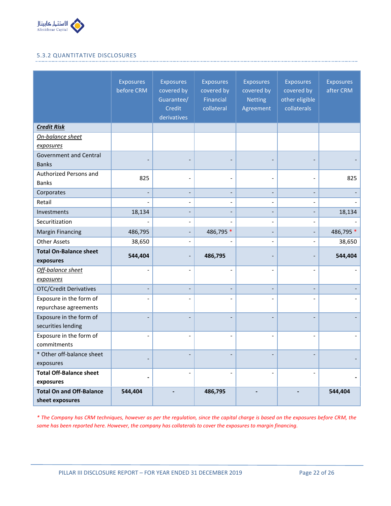

## 5.3.2 QUANTITATIVE DISCLOSURES

|                                                  | <b>Exposures</b><br>before CRM | <b>Exposures</b><br>covered by<br>Guarantee/<br>Credit<br>derivatives | <b>Exposures</b><br>covered by<br><b>Financial</b><br>collateral | <b>Exposures</b><br>covered by<br><b>Netting</b><br>Agreement | <b>Exposures</b><br>covered by<br>other eligible<br>collaterals | <b>Exposures</b><br>after CRM |
|--------------------------------------------------|--------------------------------|-----------------------------------------------------------------------|------------------------------------------------------------------|---------------------------------------------------------------|-----------------------------------------------------------------|-------------------------------|
| <b>Credit Risk</b>                               |                                |                                                                       |                                                                  |                                                               |                                                                 |                               |
| On-balance sheet                                 |                                |                                                                       |                                                                  |                                                               |                                                                 |                               |
| exposures                                        |                                |                                                                       |                                                                  |                                                               |                                                                 |                               |
| <b>Government and Central</b><br><b>Banks</b>    |                                |                                                                       |                                                                  |                                                               |                                                                 |                               |
| Authorized Persons and                           | 825                            |                                                                       |                                                                  |                                                               |                                                                 | 825                           |
| <b>Banks</b>                                     |                                |                                                                       |                                                                  |                                                               |                                                                 |                               |
| Corporates                                       |                                |                                                                       |                                                                  |                                                               |                                                                 |                               |
| Retail                                           |                                |                                                                       |                                                                  | $\overline{a}$                                                | $\overline{\phantom{a}}$                                        |                               |
| Investments                                      | 18,134                         |                                                                       |                                                                  |                                                               |                                                                 | 18,134                        |
| Securitization                                   |                                |                                                                       |                                                                  | $\overline{\phantom{a}}$                                      | $\overline{\phantom{0}}$                                        |                               |
| <b>Margin Financing</b>                          | 486,795                        |                                                                       | 486,795 *                                                        |                                                               | $\overline{\phantom{0}}$                                        | 486,795 *                     |
| <b>Other Assets</b>                              | 38,650                         |                                                                       |                                                                  | $\overline{\phantom{a}}$                                      | $\qquad \qquad \blacksquare$                                    | 38,650                        |
| <b>Total On-Balance sheet</b><br>exposures       | 544,404                        |                                                                       | 486,795                                                          |                                                               |                                                                 | 544,404                       |
| Off-balance sheet<br>exposures                   |                                |                                                                       |                                                                  |                                                               |                                                                 |                               |
| <b>OTC/Credit Derivatives</b>                    |                                |                                                                       |                                                                  |                                                               |                                                                 |                               |
| Exposure in the form of<br>repurchase agreements |                                |                                                                       |                                                                  |                                                               |                                                                 |                               |
| Exposure in the form of<br>securities lending    |                                |                                                                       |                                                                  |                                                               |                                                                 |                               |
| Exposure in the form of<br>commitments           | $\qquad \qquad \blacksquare$   |                                                                       |                                                                  |                                                               |                                                                 |                               |
| * Other off-balance sheet<br>exposures           |                                |                                                                       |                                                                  |                                                               |                                                                 |                               |
| <b>Total Off-Balance sheet</b>                   |                                |                                                                       |                                                                  |                                                               |                                                                 |                               |
| exposures                                        |                                |                                                                       |                                                                  |                                                               |                                                                 |                               |
| <b>Total On and Off-Balance</b>                  | 544,404                        |                                                                       | 486,795                                                          |                                                               |                                                                 | 544,404                       |
| sheet exposures                                  |                                |                                                                       |                                                                  |                                                               |                                                                 |                               |

*\* The Company has CRM techniques, however as per the regulation, since the capital charge is based on the exposures before CRM, the same has been reported here. However, the company has collaterals to cover the exposures to margin financing.*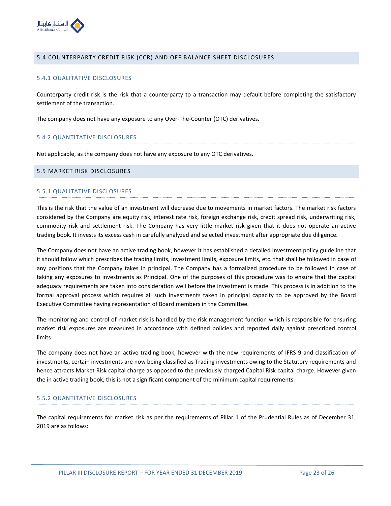

#### 5.4 COUNTERPARTY CREDIT RISK (CCR) AND OFF BALANCE SHEET DISCLOSURES

#### 5.4.1 QUALITATIVE DISCLOSURES

Counterparty credit risk is the risk that a counterparty to a transaction may default before completing the satisfactory settlement of the transaction.

The company does not have any exposure to any Over-The-Counter (OTC) derivatives.

#### 5.4.2 QUANTITATIVE DISCLOSURES

Not applicable, as the company does not have any exposure to any OTC derivatives.

#### 5.5 MARKET RISK DISCLOSURES

#### 5.5.1 QUALITATIVE DISCLOSURES

This is the risk that the value of an investment will decrease due to movements in market factors. The market risk factors considered by the Company are equity risk, interest rate risk, foreign exchange risk, credit spread risk, underwriting risk, commodity risk and settlement risk. The Company has very little market risk given that it does not operate an active trading book. It invests its excess cash in carefully analyzed and selected investment after appropriate due diligence.

The Company does not have an active trading book, however it has established a detailed Investment policy guideline that it should follow which prescribes the trading limits, investment limits, exposure limits, etc. that shall be followed in case of any positions that the Company takes in principal. The Company has a formalized procedure to be followed in case of taking any exposures to investments as Principal. One of the purposes of this procedure was to ensure that the capital adequacy requirements are taken into consideration well before the investment is made. This process is in addition to the formal approval process which requires all such investments taken in principal capacity to be approved by the Board Executive Committee having representation of Board members in the Committee.

The monitoring and control of market risk is handled by the risk management function which is responsible for ensuring market risk exposures are measured in accordance with defined policies and reported daily against prescribed control limits.

The company does not have an active trading book, however with the new requirements of IFRS 9 and classification of investments, certain investments are now being classified as Trading investments owing to the Statutory requirements and hence attracts Market Risk capital charge as opposed to the previously charged Capital Risk capital charge. However given the in active trading book, this is not a significant component of the minimum capital requirements.

#### 5.5.2 QUANTITATIVE DISCLOSURES

The capital requirements for market risk as per the requirements of Pillar 1 of the Prudential Rules as of December 31, 2019 are as follows: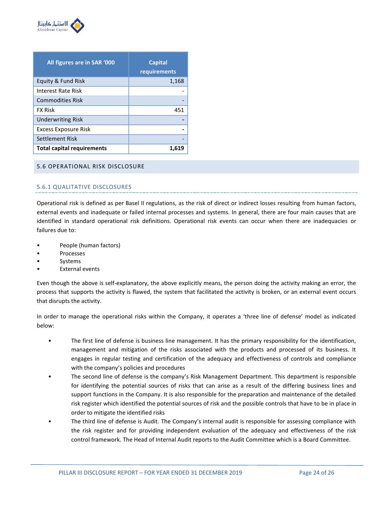

| All figures are in SAR '000       | <b>Capital</b><br>requirements |
|-----------------------------------|--------------------------------|
| Equity & Fund Risk                | 1,168                          |
| Interest Rate Risk                |                                |
| <b>Commodities Risk</b>           |                                |
| <b>FX Risk</b>                    | 451                            |
| <b>Underwriting Risk</b>          |                                |
| <b>Excess Exposure Risk</b>       |                                |
| Settlement Risk                   |                                |
| <b>Total capital requirements</b> | 1,619                          |

#### 5.6 OPERATIONAL RISK DISCLOSURE

## 5.6.1 QUALITATIVE DISCLOSURES

Operational risk is defined as per Basel II regulations, as the risk of direct or indirect losses resulting from human factors, external events and inadequate or failed internal processes and systems. In general, there are four main causes that are identified in standard operational risk definitions. Operational risk events can occur when there are inadequacies or failures due to:

- People (human factors)
- Processes
- **Systems**
- **External events**

Even though the above is self-explanatory, the above explicitly means, the person doing the activity making an error, the process that supports the activity is flawed, the system that facilitated the activity is broken, or an external event occurs that disrupts the activity.

In order to manage the operational risks within the Company, it operates a 'three line of defense' model as indicated below:

- The first line of defense is business line management. It has the primary responsibility for the identification, management and mitigation of the risks associated with the products and processed of its business. It engages in regular testing and certification of the adequacy and effectiveness of controls and compliance with the company's policies and procedures
- The second line of defense is the company's Risk Management Department. This department is responsible for identifying the potential sources of risks that can arise as a result of the differing business lines and support functions in the Company. It is also responsible for the preparation and maintenance of the detailed risk register which identified the potential sources of risk and the possible controls that have to be in place in order to mitigate the identified risks
- The third line of defense is Audit. The Company's internal audit is responsible for assessing compliance with the risk register and for providing independent evaluation of the adequacy and effectiveness of the risk control framework. The Head of Internal Audit reports to the Audit Committee which is a Board Committee.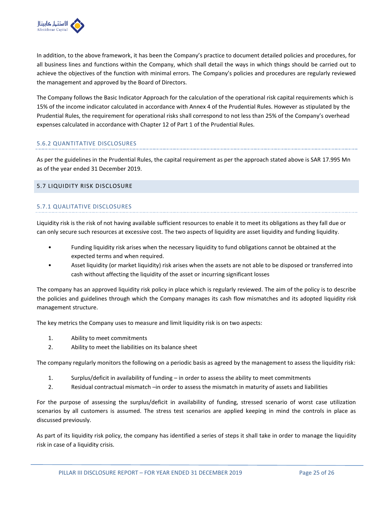

In addition, to the above framework, it has been the Company's practice to document detailed policies and procedures, for all business lines and functions within the Company, which shall detail the ways in which things should be carried out to achieve the objectives of the function with minimal errors. The Company's policies and procedures are regularly reviewed the management and approved by the Board of Directors.

The Company follows the Basic Indicator Approach for the calculation of the operational risk capital requirements which is 15% of the income indicator calculated in accordance with Annex 4 of the Prudential Rules. However as stipulated by the Prudential Rules, the requirement for operational risks shall correspond to not less than 25% of the Company's overhead expenses calculated in accordance with Chapter 12 of Part 1 of the Prudential Rules.

## 5.6.2 QUANTITATIVE DISCLOSURES

As per the guidelines in the Prudential Rules, the capital requirement as per the approach stated above is SAR 17.995 Mn as of the year ended 31 December 2019.

## 5.7 LIQUIDITY RISK DISCLOSURE

## 5.7.1 QUALITATIVE DISCLOSURES

Liquidity risk is the risk of not having available sufficient resources to enable it to meet its obligations as they fall due or can only secure such resources at excessive cost. The two aspects of liquidity are asset liquidity and funding liquidity.

- Funding liquidity risk arises when the necessary liquidity to fund obligations cannot be obtained at the expected terms and when required.
- Asset liquidity (or market liquidity) risk arises when the assets are not able to be disposed or transferred into cash without affecting the liquidity of the asset or incurring significant losses

The company has an approved liquidity risk policy in place which is regularly reviewed. The aim of the policy is to describe the policies and guidelines through which the Company manages its cash flow mismatches and its adopted liquidity risk management structure.

The key metrics the Company uses to measure and limit liquidity risk is on two aspects:

- 1. Ability to meet commitments
- 2. Ability to meet the liabilities on its balance sheet

The company regularly monitors the following on a periodic basis as agreed by the management to assess the liquidity risk:

- 1. Surplus/deficit in availability of funding in order to assess the ability to meet commitments
- 2. Residual contractual mismatch –in order to assess the mismatch in maturity of assets and liabilities

For the purpose of assessing the surplus/deficit in availability of funding, stressed scenario of worst case utilization scenarios by all customers is assumed. The stress test scenarios are applied keeping in mind the controls in place as discussed previously.

As part of its liquidity risk policy, the company has identified a series of steps it shall take in order to manage the liquidity risk in case of a liquidity crisis.